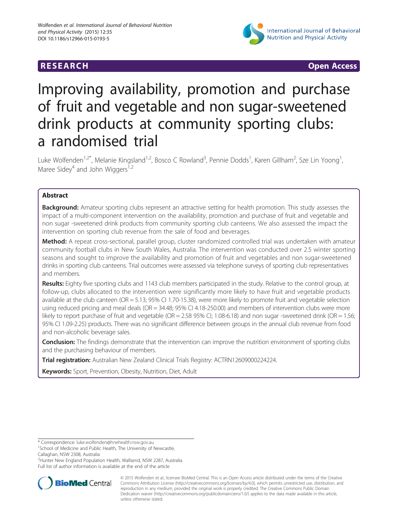# **RESEARCH RESEARCH CONSUMING ACCESS**



# Improving availability, promotion and purchase of fruit and vegetable and non sugar-sweetened drink products at community sporting clubs: a randomised trial

Luke Wolfenden<sup>1,2\*</sup>, Melanie Kingsland<sup>1,2</sup>, Bosco C Rowland<sup>3</sup>, Pennie Dodds<sup>1</sup>, Karen Gillham<sup>2</sup>, Sze Lin Yoong<sup>1</sup> , Maree Sidey<sup>4</sup> and John Wiggers<sup>1,2</sup>

# Abstract

Background: Amateur sporting clubs represent an attractive setting for health promotion. This study assesses the impact of a multi-component intervention on the availability, promotion and purchase of fruit and vegetable and non sugar -sweetened drink products from community sporting club canteens. We also assessed the impact the intervention on sporting club revenue from the sale of food and beverages.

Method: A repeat cross-sectional, parallel group, cluster randomized controlled trial was undertaken with amateur community football clubs in New South Wales, Australia. The intervention was conducted over 2.5 winter sporting seasons and sought to improve the availability and promotion of fruit and vegetables and non sugar-sweetened drinks in sporting club canteens. Trial outcomes were assessed via telephone surveys of sporting club representatives and members.

Results: Eighty five sporting clubs and 1143 club members participated in the study. Relative to the control group, at follow-up, clubs allocated to the intervention were significantly more likely to have fruit and vegetable products available at the club canteen (OR = 5.13; 95% CI 1.70-15.38), were more likely to promote fruit and vegetable selection using reduced pricing and meal deals (OR = 34.48; 95% CI 4.18-250.00) and members of intervention clubs were more likely to report purchase of fruit and vegetable (OR = 2.58 95% CI; 1.08-6.18) and non sugar -sweetened drink (OR = 1.56; 95% CI 1.09-2.25) products. There was no significant difference between groups in the annual club revenue from food and non-alcoholic beverage sales.

Conclusion: The findings demonstrate that the intervention can improve the nutrition environment of sporting clubs and the purchasing behaviour of members.

Trial registration: Australian New Zealand Clinical Trials Registry: [ACTRN12609000224224.](https://www.anzctr.org.au/Trial/Registration/TrialReview.aspx?id=83811)

Keywords: Sport, Prevention, Obesity, Nutrition, Diet, Adult

2 Hunter New England Population Health, Wallsend, NSW 2287, Australia Full list of author information is available at the end of the article



© 2015 Wolfenden et al.; licensee BioMed Central. This is an Open Access article distributed under the terms of the Creative Commons Attribution License [\(http://creativecommons.org/licenses/by/4.0\)](http://creativecommons.org/licenses/by/4.0), which permits unrestricted use, distribution, and reproduction in any medium, provided the original work is properly credited. The Creative Commons Public Domain Dedication waiver [\(http://creativecommons.org/publicdomain/zero/1.0/](http://creativecommons.org/publicdomain/zero/1.0/)) applies to the data made available in this article, unless otherwise stated.

<sup>\*</sup> Correspondence: [luke.wolfenden@hnehealth.nsw.gov.au](mailto:luke.wolfenden@hnehealth.nsw.gov.au) <sup>1</sup>

<sup>&</sup>lt;sup>1</sup>School of Medicine and Public Health, The University of Newcastle,

Callaghan, NSW 2308, Australia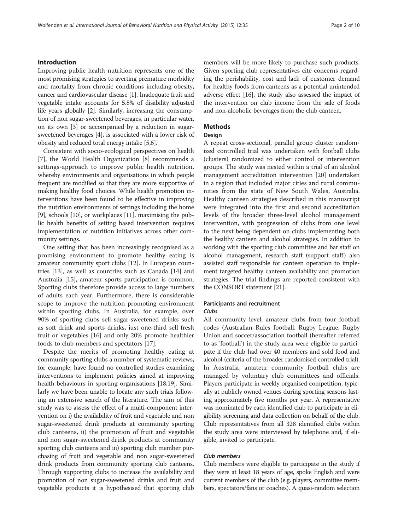# Introduction

Improving public health nutrition represents one of the most promising strategies to averting premature morbidity and mortality from chronic conditions including obesity, cancer and cardiovascular disease [\[1](#page-8-0)]. Inadequate fruit and vegetable intake accounts for 5.8% of disability adjusted life years globally [\[2](#page-8-0)]. Similarly, increasing the consumption of non sugar-sweetened beverages, in particular water, on its own [[3](#page-8-0)] or accompanied by a reduction in sugarsweetened beverages [[4\]](#page-8-0), is associated with a lower risk of obesity and reduced total energy intake [[5](#page-8-0),[6](#page-8-0)].

Consistent with socio-ecological perspectives on health [[7\]](#page-8-0), the World Health Organization [\[8](#page-8-0)] recommends a settings-approach to improve public health nutrition, whereby environments and organisations in which people frequent are modified so that they are more supportive of making healthy food choices. While health promotion interventions have been found to be effective in improving the nutrition environments of settings including the home [[9\]](#page-8-0), schools [\[10](#page-8-0)], or workplaces [[11](#page-8-0)], maximising the public health benefits of setting based intervention requires implementation of nutrition initiatives across other community settings.

One setting that has been increasingly recognised as a promising environment to promote healthy eating is amateur community sport clubs [[12](#page-8-0)]. In European countries [\[13](#page-8-0)], as well as countries such as Canada [[14](#page-8-0)] and Australia [[15](#page-8-0)], amateur sports participation is common. Sporting clubs therefore provide access to large numbers of adults each year. Furthermore, there is considerable scope to improve the nutrition promoting environment within sporting clubs. In Australia, for example, over 90% of sporting clubs sell sugar-sweetened drinks such as soft drink and sports drinks, just one-third sell fresh fruit or vegetables [\[16\]](#page-8-0) and only 20% promote healthier foods to club members and spectators [\[17](#page-8-0)].

Despite the merits of promoting healthy eating at community sporting clubs a number of systematic reviews, for example, have found no controlled studies examining interventions to implement policies aimed at improving health behaviours in sporting organisations [\[18,19](#page-8-0)]. Similarly we have been unable to locate any such trials following an extensive search of the literature. The aim of this study was to assess the effect of a multi-component intervention on i) the availability of fruit and vegetable and non sugar-sweetened drink products at community sporting club canteens, ii) the promotion of fruit and vegetable and non sugar-sweetened drink products at community sporting club canteens and iii) sporting club member purchasing of fruit and vegetable and non sugar-sweetened drink products from community sporting club canteens. Through supporting clubs to increase the availability and promotion of non sugar-sweetened drinks and fruit and vegetable products it is hypothesised that sporting club

members will be more likely to purchase such products. Given sporting club representatives cite concerns regarding the perishability, cost and lack of customer demand for healthy foods from canteens as a potential unintended adverse effect [[16](#page-8-0)], the study also assessed the impact of the intervention on club income from the sale of foods and non-alcoholic beverages from the club canteen.

# **Methods**

#### Design

A repeat cross-sectional, parallel group cluster randomized controlled trial was undertaken with football clubs (clusters) randomized to either control or intervention groups. The study was nested within a trial of an alcohol management accreditation intervention [\[20](#page-8-0)] undertaken in a region that included major cities and rural communities from the state of New South Wales, Australia. Healthy canteen strategies described in this manuscript were integrated into the first and second accreditation levels of the broader three-level alcohol management intervention, with progression of clubs from one level to the next being dependent on clubs implementing both the healthy canteen and alcohol strategies. In addition to working with the sporting club committee and bar staff on alcohol management, research staff (support staff) also assisted staff responsible for canteen operation to implement targeted healthy canteen availability and promotion strategies. The trial findings are reported consistent with the CONSORT statement [[21\]](#page-8-0).

### Participants and recruitment

#### Clubs

All community level, amateur clubs from four football codes (Australian Rules football, Rugby League, Rugby Union and soccer/association football (hereafter referred to as 'football') in the study area were eligible to participate if the club had over 40 members and sold food and alcohol (criteria of the broader randomised controlled trial). In Australia, amateur community football clubs are managed by voluntary club committees and officials. Players participate in weekly organised competition, typically at publicly owned venues during sporting seasons lasting approximately five months per year. A representative was nominated by each identified club to participate in eligibility screening and data collection on behalf of the club. Club representatives from all 328 identified clubs within the study area were interviewed by telephone and, if eligible, invited to participate.

#### Club members

Club members were eligible to participate in the study if they were at least 18 years of age, spoke English and were current members of the club (e.g. players, committee members, spectators/fans or coaches). A quasi-random selection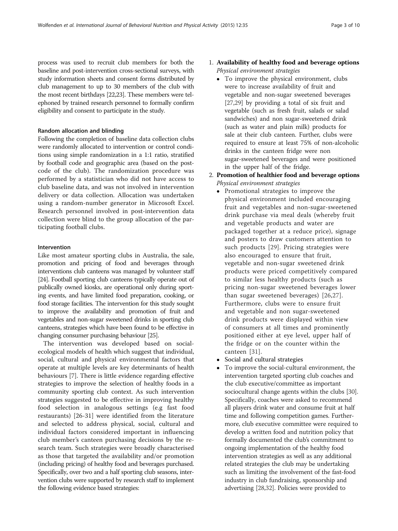process was used to recruit club members for both the baseline and post-intervention cross-sectional surveys, with study information sheets and consent forms distributed by club management to up to 30 members of the club with the most recent birthdays [\[22,23](#page-8-0)]. These members were telephoned by trained research personnel to formally confirm eligibility and consent to participate in the study.

# Random allocation and blinding

Following the completion of baseline data collection clubs were randomly allocated to intervention or control conditions using simple randomization in a 1:1 ratio, stratified by football code and geographic area (based on the postcode of the club). The randomization procedure was performed by a statistician who did not have access to club baseline data, and was not involved in intervention delivery or data collection. Allocation was undertaken using a random-number generator in Microsoft Excel. Research personnel involved in post-intervention data collection were blind to the group allocation of the participating football clubs.

#### Intervention

Like most amateur sporting clubs in Australia, the sale, promotion and pricing of food and beverages through interventions club canteens was managed by volunteer staff [[24\]](#page-8-0). Football sporting club canteens typically operate out of publically owned kiosks, are operational only during sporting events, and have limited food preparation, cooking, or food storage facilities. The intervention for this study sought to improve the availability and promotion of fruit and vegetables and non-sugar sweetened drinks in sporting club canteens, strategies which have been found to be effective in changing consumer purchasing behaviour [\[25](#page-8-0)].

The intervention was developed based on socialecological models of health which suggest that individual, social, cultural and physical environmental factors that operate at multiple levels are key determinants of health behaviours [[7\]](#page-8-0). There is little evidence regarding effective strategies to improve the selection of healthy foods in a community sporting club context. As such intervention strategies suggested to be effective in improving healthy food selection in analogous settings (e.g fast food restaurants) [\[26-31](#page-8-0)] were identified from the literature and selected to address physical, social, cultural and individual factors considered important in influencing club member's canteen purchasing decisions by the research team. Such strategies were broadly characterised as those that targeted the availability and/or promotion (including pricing) of healthy food and beverages purchased. Specifically, over two and a half sporting club seasons, intervention clubs were supported by research staff to implement the following evidence based strategies:

- 1. Availability of healthy food and beverage options Physical environment strategies
	- To improve the physical environment, clubs were to increase availability of fruit and vegetable and non-sugar sweetened beverages [[27,29\]](#page-8-0) by providing a total of six fruit and vegetable (such as fresh fruit, salads or salad sandwiches) and non sugar-sweetened drink (such as water and plain milk) products for sale at their club canteen. Further, clubs were required to ensure at least 75% of non-alcoholic drinks in the canteen fridge were non sugar-sweetened beverages and were positioned in the upper half of the fridge.
- 2. Promotion of healthier food and beverage options Physical environment strategies
	- Promotional strategies to improve the physical environment included encouraging fruit and vegetables and non-sugar-sweetened drink purchase via meal deals (whereby fruit and vegetable products and water are packaged together at a reduce price), signage and posters to draw customers attention to such products [[29\]](#page-8-0). Pricing strategies were also encouraged to ensure that fruit, vegetable and non-sugar sweetened drink products were priced competitively compared to similar less healthy products (such as pricing non-sugar sweetened beverages lower than sugar sweetened beverages) [[26](#page-8-0),[27\]](#page-8-0). Furthermore, clubs were to ensure fruit and vegetable and non sugar-sweetened drink products were displayed within view of consumers at all times and prominently positioned either at eye level, upper half of the fridge or on the counter within the canteen [\[31\]](#page-8-0).
	- Social and cultural strategies
	- To improve the social-cultural environment, the intervention targeted sporting club coaches and the club executive/committee as important sociocultural change agents within the clubs [\[30](#page-8-0)]. Specifically, coaches were asked to recommend all players drink water and consume fruit at half time and following competition games. Furthermore, club executive committee were required to develop a written food and nutrition policy that formally documented the club's commitment to ongoing implementation of the healthy food intervention strategies as well as any additional related strategies the club may be undertaking such as limiting the involvement of the fast-food industry in club fundraising, sponsorship and advertising [\[28,32](#page-8-0)]. Policies were provided to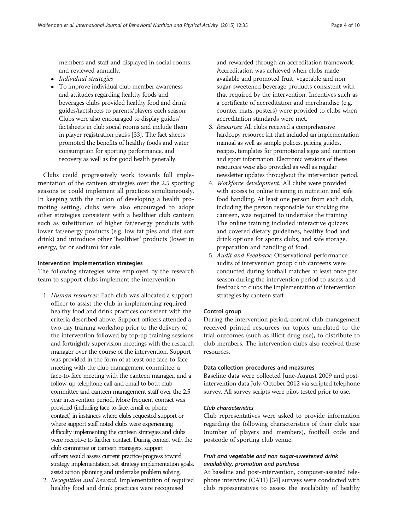members and staff and displayed in social rooms and reviewed annually.

- Individual strategies
- To improve individual club member awareness and attitudes regarding healthy foods and beverages clubs provided healthy food and drink guides/factsheets to parents/players each season. Clubs were also encouraged to display guides/ factsheets in club social rooms and include them in player registration packs [\[33\]](#page-8-0). The fact sheets promoted the benefits of healthy foods and water consumption for sporting performance, and recovery as well as for good health generally.

Clubs could progressively work towards full implementation of the canteen strategies over the 2.5 sporting seasons or could implement all practices simultaneously. In keeping with the notion of developing a health promoting setting, clubs were also encouraged to adopt other strategies consistent with a healthier club canteen such as substitution of higher fat/energy products with lower fat/energy products (e.g. low fat pies and diet soft drink) and introduce other 'healthier' products (lower in energy, fat or sodium) for sale.

# Intervention implementation strategies

The following strategies were employed by the research team to support clubs implement the intervention:

- 1. Human resources: Each club was allocated a support officer to assist the club in implementing required healthy food and drink practices consistent with the criteria described above. Support officers attended a two-day training workshop prior to the delivery of the intervention followed by top-up training sessions and fortnightly supervision meetings with the research manager over the course of the intervention. Support was provided in the form of at least one face-to-face meeting with the club management committee, a face-to-face meeting with the canteen manager, and a follow-up telephone call and email to both club committee and canteen management staff over the 2.5 year intervention period. More frequent contact was provided (including face-to-face, email or phone contact) in instances where clubs requested support or where support staff noted clubs were experiencing difficulty implementing the canteen strategies and clubs were receptive to further contact. During contact with the club committee or canteen managers, support officers would assess current practice/progress toward strategy implementation, set strategy implementation goals, assist action planning and undertake problem solving.
- 2. Recognition and Reward: Implementation of required healthy food and drink practices were recognised

and rewarded through an accreditation framework. Accreditation was achieved when clubs made available and promoted fruit, vegetable and non sugar-sweetened beverage products consistent with that required by the intervention. Incentives such as a certificate of accreditation and merchandise (e.g. counter mats, posters) were provided to clubs when accreditation standards were met.

- 3. Resources: All clubs received a comprehensive hardcopy resource kit that included an implementation manual as well as sample polices, pricing guides, recipes, templates for promotional signs and nutrition and sport information. Electronic versions of these resources were also provided as well as regular newsletter updates throughout the intervention period.
- 4. Workforce development: All clubs were provided with access to online training in nutrition and safe food handling. At least one person from each club, including the person responsible for stocking the canteen, was required to undertake the training. The online training included interactive quizzes and covered dietary guidelines, healthy food and drink options for sports clubs, and safe storage, preparation and handling of food.
- 5. Audit and Feedback: Observational performance audits of intervention group club canteens were conducted during football matches at least once per season during the intervention period to assess and feedback to clubs the implementation of intervention strategies by canteen staff.

# Control group

During the intervention period, control club management received printed resources on topics unrelated to the trial outcomes (such as illicit drug use), to distribute to club members. The intervention clubs also received these resources.

# Data collection procedures and measures

Baseline data were collected June-August 2009 and postintervention data July-October 2012 via scripted telephone survey. All survey scripts were pilot-tested prior to use.

# Club characteristics

Club representatives were asked to provide information regarding the following characteristics of their club: size (number of players and members), football code and postcode of sporting club venue.

# Fruit and vegetable and non sugar-sweetened drink availability, promotion and purchase

At baseline and post-intervention, computer-assisted telephone interview (CATI) [[34](#page-8-0)] surveys were conducted with club representatives to assess the availability of healthy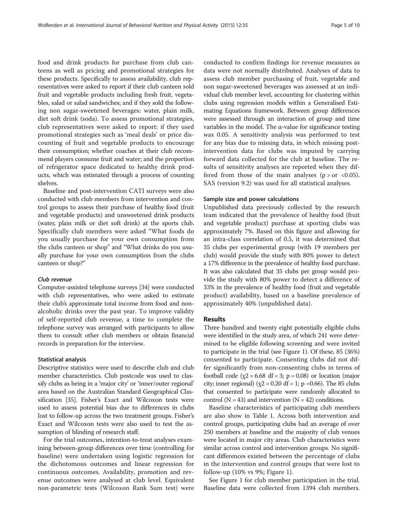food and drink products for purchase from club canteens as well as pricing and promotional strategies for these products. Specifically to assess availability, club representatives were asked to report if their club canteen sold fruit and vegetable products including fresh fruit, vegetables, salad or salad sandwiches; and if they sold the following non sugar-sweetened beverages: water, plain milk, diet soft drink (soda). To assess promotional strategies, club representatives were asked to report: if they used promotional strategies such as 'meal deals' or price discounting of fruit and vegetable products to encourage their consumption; whether coaches at their club recommend players consume fruit and water; and the proportion of refrigerator space dedicated to healthy drink products, which was estimated through a process of counting shelves.

Baseline and post-intervention CATI surveys were also conducted with club members from intervention and control groups to assess their purchase of healthy food (fruit and vegetable products) and unsweetened drink products (water, plain milk or diet soft drink) at the sports club. Specifically club members were asked "What foods do you usually purchase for your own consumption from the clubs canteen or shop" and "What drinks do you usually purchase for your own consumption from the clubs canteen or shop?"

#### Club revenue

Computer-assisted telephone surveys [\[34\]](#page-8-0) were conducted with club representatives, who were asked to estimate their club's approximate total income from food and nonalcoholic drinks over the past year. To improve validity of self-reported club revenue, a time to complete the telephone survey was arranged with participants to allow them to consult other club members or obtain financial records in preparation for the interview.

#### Statistical analysis

Descriptive statistics were used to describe club and club member characteristics. Club postcode was used to classify clubs as being in a 'major city' or 'inner/outer regional' area based on the Australian Standard Geographical Classification [\[35\]](#page-8-0). Fisher's Exact and Wilcoxon tests were used to assess potential bias due to differences in clubs lost to follow-up across the two treatment groups. Fisher's Exact and Wilcoxon tests were also used to test the assumption of blinding of research staff.

For the trial outcomes, intention-to-treat analyses examining between-group differences over time (controlling for baseline) were undertaken using logistic regression for the dichotomous outcomes and linear regression for continuous outcomes. Availability, promotion and revenue outcomes were analysed at club level. Equivalent non-parametric tests (Wilcoxon Rank Sum test) were conducted to confirm findings for revenue measures as data were not normally distributed. Analyses of data to assess club member purchasing of fruit, vegetable and non sugar-sweetened beverages was assessed at an individual club member level, accounting for clustering within clubs using regression models within a Generalised Estimating Equations framework. Between group differences were assessed through an interaction of group and time variables in the model. The α-value for significance testing was 0.05. A sensitivity analysis was performed to test for any bias due to missing data, in which missing postintervention data for clubs was imputed by carrying forward data collected for the club at baseline. The results of sensitivity analyses are reported when they differed from those of the main analyses ( $p >$  or <0.05). SAS (version 9.2) was used for all statistical analyses.

#### Sample size and power calculations

Unpublished data previously collected by the research team indicated that the prevalence of healthy food (fruit and vegetable product) purchase at sporting clubs was approximately 7%. Based on this figure and allowing for an intra-class correlation of 0.5, it was determined that 35 clubs per experimental group (with 19 members per club) would provide the study with 80% power to detect a 17% difference in the prevalence of healthy food purchase. It was also calculated that 35 clubs per group would provide the study with 80% power to detect a difference of 33% in the prevalence of healthy food (fruit and vegetable product) availability, based on a baseline prevalence of approximately 40% (unpublished data).

### Results

Three hundred and twenty eight potentially eligible clubs were identified in the study area, of which 241 were determined to be eligible following screening and were invited to participate in the trial (see Figure [1\)](#page-5-0). Of these, 85 (36%) consented to participate. Consenting clubs did not differ significantly from non-consenting clubs in terms of football code  $(\chi^2 = 6.68 \text{ df} = 3; \ p = 0.08)$  or location (major city; inner regional) ( $\chi$ 2 = 0.20 df = 1; p = 0.66). The 85 clubs that consented to participate were randomly allocated to control ( $N = 43$ ) and intervention ( $N = 42$ ) conditions.

Baseline characteristics of participating club members are also show in Table [1](#page-6-0). Across both intervention and control groups, participating clubs had an average of over 250 members at baseline and the majority of club venues were located in major city areas. Club characteristics were similar across control and intervention groups. No significant differences existed between the percentage of clubs in the intervention and control groups that were lost to follow-up (10% vs 9%; Figure [1\)](#page-5-0).

See Figure [1](#page-5-0) for club member participation in the trial. Baseline data were collected from 1394 club members.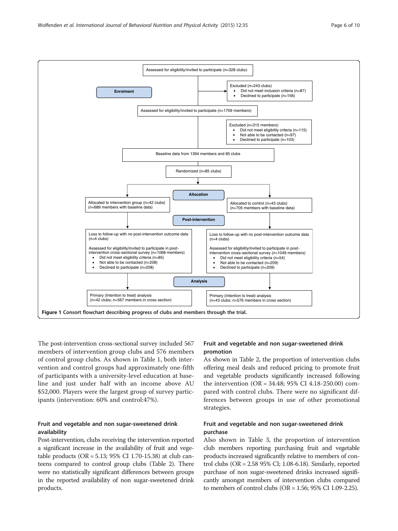<span id="page-5-0"></span>

The post-intervention cross-sectional survey included 567 members of intervention group clubs and 576 members of control group clubs. As shown in Table [1](#page-6-0), both intervention and control groups had approximately one-fifth of participants with a university-level education at baseline and just under half with an income above AU \$52,000. Players were the largest group of survey participants (intervention: 60% and control:47%).

# Fruit and vegetable and non sugar-sweetened drink availability

Post-intervention, clubs receiving the intervention reported a significant increase in the availability of fruit and vegetable products (OR = 5.13; 95% CI 1.70-15.38) at club canteens compared to control group clubs (Table [2](#page-6-0)). There were no statistically significant differences between groups in the reported availability of non sugar-sweetened drink products.

# Fruit and vegetable and non sugar-sweetened drink promotion

As shown in Table [2,](#page-6-0) the proportion of intervention clubs offering meal deals and reduced pricing to promote fruit and vegetable products significantly increased following the intervention (OR = 34.48; 95% CI 4.18-250.00) compared with control clubs. There were no significant differences between groups in use of other promotional strategies.

# Fruit and vegetable and non sugar-sweetened drink purchase

Also shown in Table [3,](#page-7-0) the proportion of intervention club members reporting purchasing fruit and vegetable products increased significantly relative to members of control clubs (OR = 2.58 95% CI; 1.08-6.18). Similarly, reported purchase of non sugar-sweetened drinks increased significantly amongst members of intervention clubs compared to members of control clubs (OR = 1.56; 95% CI 1.09-2.25).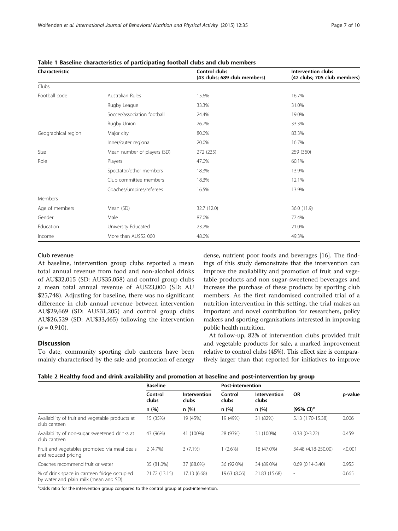| Characteristic      |                             | <b>Control clubs</b><br>(43 clubs; 689 club members) | Intervention clubs<br>(42 clubs; 705 club members) |
|---------------------|-----------------------------|------------------------------------------------------|----------------------------------------------------|
| Clubs               |                             |                                                      |                                                    |
| Football code       | Australian Rules            | 15.6%                                                | 16.7%                                              |
|                     | Rugby League                | 33.3%                                                | 31.0%                                              |
|                     | Soccer/association football | 24.4%                                                | 19.0%                                              |
|                     | Rugby Union                 | 26.7%                                                | 33.3%                                              |
| Geographical region | Major city                  | 80.0%                                                | 83.3%                                              |
|                     | Inner/outer regional        | 20.0%                                                | 16.7%                                              |
| Size                | Mean number of players (SD) | 272 (235)                                            | 259 (360)                                          |
| Role                | Players                     | 47.0%                                                | 60.1%                                              |
|                     | Spectator/other members     | 18.3%                                                | 13.9%                                              |
|                     | Club committee members      | 18.3%                                                | 12.1%                                              |
|                     | Coaches/umpires/referees    | 16.5%                                                | 13.9%                                              |
| Members             |                             |                                                      |                                                    |
| Age of members      | Mean (SD)                   | 32.7 (12.0)                                          | 36.0 (11.9)                                        |
| Gender              | Male                        | 87.0%                                                | 77.4%                                              |
| Education           | University Educated         | 23.2%                                                | 21.0%                                              |
| Income              | More than AU\$52 000        | 48.0%                                                | 49.3%                                              |

<span id="page-6-0"></span>Table 1 Baseline characteristics of participating football clubs and club members

# Club revenue

At baseline, intervention group clubs reported a mean total annual revenue from food and non-alcohol drinks of AU\$32,015 (SD: AU\$35,058) and control group clubs a mean total annual revenue of AU\$23,000 (SD: AU \$25,748). Adjusting for baseline, there was no significant difference in club annual revenue between intervention AU\$29,669 (SD: AU\$31,205) and control group clubs AU\$26,529 (SD: AU\$33,465) following the intervention  $(p = 0.910)$ .

### **Discussion**

To date, community sporting club canteens have been mainly characterised by the sale and promotion of energy dense, nutrient poor foods and beverages [\[16\]](#page-8-0). The findings of this study demonstrate that the intervention can improve the availability and promotion of fruit and vegetable products and non sugar-sweetened beverages and increase the purchase of these products by sporting club members. As the first randomised controlled trial of a nutrition intervention in this setting, the trial makes an important and novel contribution for researchers, policy makers and sporting organisations interested in improving public health nutrition.

At follow-up, 82% of intervention clubs provided fruit and vegetable products for sale, a marked improvement relative to control clubs (45%). This effect size is comparatively larger than that reported for initiatives to improve

| Table 2 Healthy food and drink availability and promotion at baseline and post-intervention by group |  |  |  |  |  |
|------------------------------------------------------------------------------------------------------|--|--|--|--|--|
|------------------------------------------------------------------------------------------------------|--|--|--|--|--|

|                                                                                      | <b>Baseline</b>          |                               | <b>Post-intervention</b> |                               |                                             |         |
|--------------------------------------------------------------------------------------|--------------------------|-------------------------------|--------------------------|-------------------------------|---------------------------------------------|---------|
|                                                                                      | Control<br>clubs<br>n(%) | Intervention<br>clubs<br>n(%) | Control<br>clubs<br>n(%) | Intervention<br>clubs<br>n(%) | <b>OR</b><br>$(95\% \text{ Cl})^{\text{a}}$ | p-value |
|                                                                                      |                          |                               |                          |                               |                                             |         |
| Availability of fruit and vegetable products at<br>club canteen                      | 15 (35%)                 | 19 (45%)                      | 19 (49%)                 | 31 (82%)                      | 5.13 (1.70-15.38)                           | 0.006   |
| Availability of non-sugar sweetened drinks at<br>club canteen                        | 43 (96%)                 | 41 (100%)                     | 28 (93%)                 | 31 (100%)                     | $0.38(0-3.22)$                              | 0.459   |
| Fruit and vegetables promoted via meal deals<br>and reduced pricing                  | 2(4.7%)                  | $3(7.1\%)$                    | $1(2.6\%)$               | 18 (47.0%)                    | 34.48 (4.18-250.00)                         | < 0.001 |
| Coaches recommend fruit or water                                                     | 35 (81.0%)               | 37 (88.0%)                    | 36 (92.0%)               | 34 (89.0%)                    | $0.69(0.14-3.40)$                           | 0.955   |
| % of drink space in canteen fridge occupied<br>by water and plain milk (mean and SD) | 21.72 (13.15)            | 17.13 (6.68)                  | 19.63 (8.06)             | 21.83 (15.68)                 | $\overline{\phantom{a}}$                    | 0.665   |

<sup>a</sup>Odds ratio for the intervention group compared to the control group at post-intervention.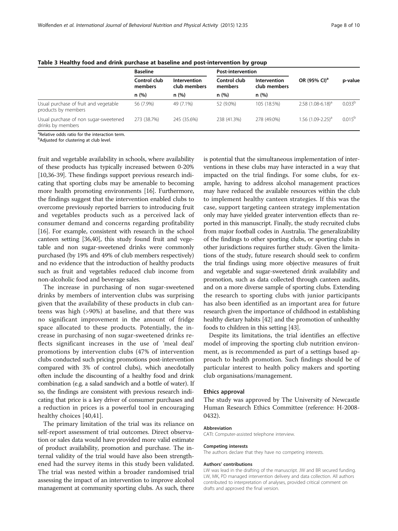|                                                              | <b>Baseline</b>                 |                                      | <b>Post-intervention</b>        |                                      |                                 |             |
|--------------------------------------------------------------|---------------------------------|--------------------------------------|---------------------------------|--------------------------------------|---------------------------------|-------------|
|                                                              | Control club<br>members<br>n(%) | Intervention<br>club members<br>n(%) | Control club<br>members<br>n(%) | Intervention<br>club members<br>n(%) | OR (95% CI) <sup>a</sup>        | p-value     |
|                                                              |                                 |                                      |                                 |                                      |                                 |             |
| Usual purchase of fruit and vegetable<br>products by members | 56 (7.9%)                       | 49 (7.1%)                            | 52 (9.0%)                       | 105 (18.5%)                          | $2.58(1.08-6.18)^{d}$           | $0.033^{b}$ |
| Usual purchase of non sugar-sweetened<br>drinks by members   | 273 (38.7%)                     | 245 (35.6%)                          | 238 (41.3%)                     | 278 (49.0%)                          | $1.56$ (1.09-2.25) <sup>a</sup> | $0.015^{b}$ |
|                                                              |                                 |                                      |                                 |                                      |                                 |             |

<span id="page-7-0"></span>Table 3 Healthy food and drink purchase at baseline and post-intervention by group

<sup>a</sup>Relative odds ratio for the interaction term.

**b**Adjusted for clustering at club level.

fruit and vegetable availability in schools, where availability of these products has typically increased between 0-20% [[10,36](#page-8-0)-[39](#page-8-0)]. These findings support previous research indicating that sporting clubs may be amenable to becoming more health promoting environments [[16](#page-8-0)]. Furthermore, the findings suggest that the intervention enabled clubs to overcome previously reported barriers to introducing fruit and vegetables products such as a perceived lack of consumer demand and concerns regarding profitability [[16](#page-8-0)]. For example, consistent with research in the school canteen setting [[36](#page-8-0),[40](#page-8-0)], this study found fruit and vegetable and non sugar-sweetened drinks were commonly purchased (by 19% and 49% of club members respectively) and no evidence that the introduction of healthy products such as fruit and vegetables reduced club income from non-alcoholic food and beverage sales.

The increase in purchasing of non sugar-sweetened drinks by members of intervention clubs was surprising given that the availability of these products in club canteens was high (>90%) at baseline, and that there was no significant improvement in the amount of fridge space allocated to these products. Potentially, the increase in purchasing of non sugar-sweetened drinks reflects significant increases in the use of 'meal deal' promotions by intervention clubs (47% of intervention clubs conducted such pricing promotions post-intervention compared with 3% of control clubs), which anecdotally often include the discounting of a healthy food and drink combination (e.g. a salad sandwich and a bottle of water). If so, the findings are consistent with previous research indicating that price is a key driver of consumer purchases and a reduction in prices is a powerful tool in encouraging healthy choices [[40,](#page-8-0)[41\]](#page-9-0).

The primary limitation of the trial was its reliance on self-report assessment of trial outcomes. Direct observation or sales data would have provided more valid estimate of product availability, promotion and purchase. The internal validity of the trial would have also been strengthened had the survey items in this study been validated. The trial was nested within a broader randomised trial assessing the impact of an intervention to improve alcohol management at community sporting clubs. As such, there is potential that the simultaneous implementation of interventions in these clubs may have interacted in a way that impacted on the trial findings. For some clubs, for example, having to address alcohol management practices may have reduced the available resources within the club to implement healthy canteen strategies. If this was the case, support targeting canteen strategy implementation only may have yielded greater intervention effects than reported in this manuscript. Finally, the study recruited clubs from major football codes in Australia. The generalizability of the findings to other sporting clubs, or sporting clubs in other jurisdictions requires further study. Given the limitations of the study, future research should seek to confirm the trial findings using more objective measures of fruit and vegetable and sugar-sweetened drink availability and promotion, such as data collected through canteen audits, and on a more diverse sample of sporting clubs. Extending the research to sporting clubs with junior participants has also been identified as an important area for future research given the importance of childhood in establishing healthy dietary habits [\[42](#page-9-0)] and the promotion of unhealthy foods to children in this setting [[43](#page-9-0)].

Despite its limitations, the trial identifies an effective model of improving the sporting club nutrition environment, as is recommended as part of a settings based approach to health promotion. Such findings should be of particular interest to health policy makers and sporting club organisations/management.

#### Ethics approval

The study was approved by The University of Newcastle Human Research Ethics Committee (reference: H-2008- 0432).

#### Abbreviation

CATI: Computer-assisted telephone interview.

#### Competing interests

The authors declare that they have no competing interests.

#### Authors' contributions

LW was lead in the drafting of the manuscript. JW and BR secured funding. LW, MK, PD managed intervention delivery and data collection. All authors contributed to interpretation of analyses, provided critical comment on drafts and approved the final version.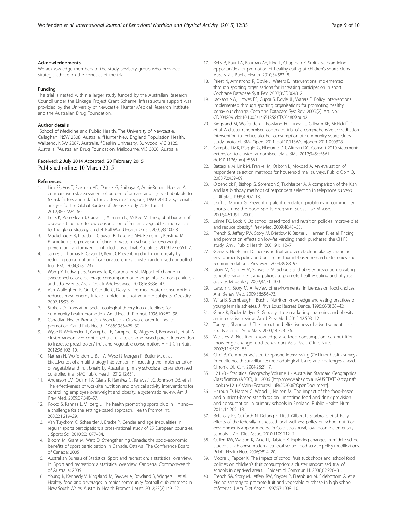#### <span id="page-8-0"></span>Acknowledgements

We acknowledge members of the study advisory group who provided strategic advice on the conduct of the trial.

#### Funding

The trial is nested within a larger study funded by the Australian Research Council under the Linkage Project Grant Scheme. Infrastructure support was provided by the University of Newcastle, Hunter Medical Research Institute, and the Australian Drug Foundation.

#### Author details

<sup>1</sup>School of Medicine and Public Health, The University of Newcastle, Callaghan, NSW 2308, Australia. <sup>2</sup>Hunter New England Population Health, Wallsend, NSW 2287, Australia. <sup>3</sup>Deakin University, Burwood, VIC 3125, Australia. <sup>4</sup>Australian Drug Foundation, Melbourne, VIC 3000, Australia.

#### Received: 2 July 2014 Accepted: 20 February 2015 Published online: 10 March 2015

#### References

- Lim SS, Vos T, Flaxman AD, Danaei G, Shibuya K, Adair-Rohani H, et al. A comparative risk assessment of burden of disease and injury attributable to 67 risk factors and risk factor clusters in 21 regions, 1990–2010: a systematic analysis for the Global Burden of Disease Study 2010. Lancet. 2012;380:2224–60.
- 2. Lock K, Pomerleau J, Causer L, Altmann D, McKee M. The global burden of disease attributable to low consumption of fruit and vegetables: implications for the global strategy on diet. Bull World Health Organ. 2005;83:100–8.
- 3. Muckelbauer R, Libuda L, Clausen K, Toschke AM, Reinehr T, Kersting M. Promotion and provision of drinking water in schools for overweight prevention: randomized, controlled cluster trial. Pediatrics. 2009;123:e661–7.
- 4. James J, Thomas P, Cavan D, Kerr D. Preventing childhood obesity by reducing consumption of carbonated drinks: cluster randomised controlled trial. BMJ. 2004;328:1237.
- 5. Wang Y, Ludwig DS, Sonneville K, Gortmaker SL. IMpact of change in sweetened caloric beverage consumption on energy intake among children and adolescents. Arch Pediatr Adolesc Med. 2009;163:336–43.
- 6. Van Walleghen E, Orr J, Gentile C, Davy B. Pre-meal water consumption reduces meal energy intake in older but not younger subjects. Obestity. 2007;15:93–9.
- Stokols D. Translating social ecological theory into guidelines for community health promotion. Am J Health Promot. 1996;10:282–98.
- 8. Canadian Health Promotion Association. Ottawa charter for health promotion. Can J Pub Health. 1986;1986:425–30.
- 9. Wyse R, Wolfenden L, Campbell E, Campbell K, Wiggers J, Brennan L, et al. A cluster randomized controlled trial of a telephone-based parent intervention to increase preschoolers' fruit and vegetable consumption. Am J Clin Nutr. 2012;96:102–10.
- 10. Nathan N, Wolfenden L, Bell A, Wyse R, Morgan P, Butler M, et al. Effectiveness of a multi-strategy intervention in increasing the implementation of vegetable and fruit breaks by Australian primary schools: a non-randomised controlled trial. BMC Public Health. 2012;12:651.
- 11. Anderson LM, Quinn TA, Glanz K, Ramirez G, Kahwati LC, Johnson DB, et al. The effectiveness of worksite nutrition and physical activity interventions for controlling employee overweight and obesity: a systematic review. Am J Prev Med. 2009;37:340–57.
- 12. Kokko S, Kannas L, Villberg J. The health promoting sports club in Finland a challenge for the settings-based approach. Health Promot Int. 2006;21:219–29.
- 13. Van Tuyckom C, Scheerder J, Bracke P. Gender and age inequalities in regular sports participation: a cross-national study of 25 European countries. J Sports Sci. 2010;28:1077–84.
- 14. Bloom M, Grant M, Watt D. Strengthening Canada: the socio-economic benefits of sport participation in Canada. Ottawa: The Conference Board of Canada; 2005.
- 15. Australian Bureau of Statistics. Sport and recreation: a statistical overview. In: Sport and recreation: a statistical overview. Canberra: Commonwealth of Australia; 2009.
- 16. Young K, Kennedy V, Kingsland M, Sawyer A, Rowland B, Wiggers J, et al. Healthy food and beverages in senior community football club canteens in New South Wales, Australia. Health Promot J Aust. 2012;23(2):149–52.
- 17. Kelly B, Baur LA, Bauman AE, King L, Chapman K, Smith BJ. Examining opportunities for promotion of healthy eating at children's sports clubs. Aust N Z J Public Health. 2010;34:583–8.
- 18. Priest N, Armstrong R, Doyle J, Waters E. Interventions implemented through sporting organisations for increasing participation in sport. Cochrane Database Syst Rev. 2008;3:CD004812.
- 19. Jackson NW, Howes FS, Gupta S, Doyle JL, Waters E. Policy interventions implemented through sporting organisations for promoting healthy behaviour change. Cochrane Database Syst Rev. 2005;(2). Art. No.: CD004809. doi:10.1002/14651858.CD004809.pub2.
- 20. Kingsland M, Wolfenden L, Rowland BC, Tindall J, Gillham KE, McElduff P, et al. A cluster randomised controlled trial of a comprehensive accreditation intervention to reduce alcohol consumption at community sports clubs: study protocol. BMJ Open. 2011, doi:10.1136/bmjopen-2011-000328.
- 21. Campbell MK, Piaggio G, Elbourne DR, Altman DG. Consort 2010 statement: extension to cluster randomised trials. BMJ. 2012;345:e5661. doi:10.1136/bmj.e5661.
- 22. Battaglia M, Link M, Frankel M, Osborn L, Mokdad A. An evaluation of respondent selection methods for household mail surveys. Public Opin Q. 2008;72:459–69.
- 23. Oldendick R, Bishop G, Sorenson S, Tuchfarber A. A comparison of the Kish and last birthday methods of respondent selection in telephone surveys. J Off Stat. 1998;4:307–18.
- 24. Duff C, Munro G. Preventing alcohol-related problems in community sports clubs: the good sports program. Subst Use Misuse. 2007;42:1991–2001.
- 25. Jaime PC, Lock K. Do school based food and nutrition policies improve diet and reduce obesity? Prev Med. 2009;48:45–53.
- 26. French S, Jeffery RW, Story M, Brietlow K, Baxter J, Hannan P, et al. Pricing and promotion effects on low-fat vending snack purchases: the CHIPS study. Am J Public Health. 2001;91:112–7.
- 27. Glanz K, Hoelscher D. Increasing fruit and vegetable intake by changing environments policy and pricing: restaurant-based research, strategies and recommendations. Prev Med. 2004;39:88–93.
- 28. Story M, Nanney M, Schwartz M. Schools and obesity prevention: creating school environment and policies to promote healthy eating and physical activity. Milbank Q. 2009;87:71–100.
- 29. Larson N, Story M. A Review of environmental influences on food choices. Ann Behav Med. 2009;38:S56–73.
- 30. Wiita B, Stombaugh I, Buch J. Nutrition knowledge and eating practices of young female athletes. J Phys Educ Recreat Dance. 1995;66(3):36–42.
- 31. Glanz K, Bader M, Iyer S. Grocery store marketing strategies and obesity: an integrative review. Am J Prev Med. 2012;42:503–12.
- 32. Turley L, Shannon J. The impact and effectiveness of advertisements in a sports arena. J Serv Mark. 2000;14:323–36.
- 33. Worsley A. Nutrition knowledge and food consumption: can nutrition knowledge change food behaviour? Asia Pac J Clinic Nutr. 2002;11:S579–85.
- 34. Choi B. Computer assisted telephone interviewing (CATI) for health surveys in public health surveillance: methodological issues and challenges ahead. Chronic Dis Can. 2004;25:21–7.
- 35. 1216.0 Statistical Geography Volume 1 Australian Standard Geographical Classification (ASGC), Jul 2006 [\[http://www.abs.gov.au/AUSSTATS/abs@.nsf/](http://www.abs.gov.au/AUSSTATS/abs@.nsf/Lookup/1216.0Main+Features1Jul%202006?OpenDocument) [Lookup/1216.0Main+Features1Jul%202006?OpenDocument](http://www.abs.gov.au/AUSSTATS/abs@.nsf/Lookup/1216.0Main+Features1Jul%202006?OpenDocument)].
- 36. Haroun D, Harper C, Wood L, Nelson M. The impact of the food-based and nutrient-based standards on lunchtime food and drink provision and consumption in primary schools in England. Public Health Nutr. 2011;14:209–18.
- 37. Belansky ES, Cutforth N, Delong E, Litt J, Gilbert L, Scarbro S, et al. Early effects of the federally mandated local wellness policy on school nutrition environments appear modest in Colorado's rural, low-income elementary schools. J Am Diet Assoc. 2010;110:1712–7.
- 38. Cullen KW, Watson K, Zakeri I, Ralston K. Exploring changes in middle-school student lunch consumption after local school food service policy modifications. Public Health Nutr. 2006;9:814–20.
- 39. Moore L, Tapper K. The impact of school fruit tuck shops and school food policies on children's fruit consumption: a cluster randomised trial of schools in deprived areas. J Epidemiol Commun H. 2008;62:926–31.
- 40. French SA, Story M, Jeffery RW, Snyder P, Eisenburg M, Sidebottom A, et al. Pricing strategy to promote fruit and vegetable purchase in high school cafeterias. J Am Diet Assoc. 1997;97:1008–10.